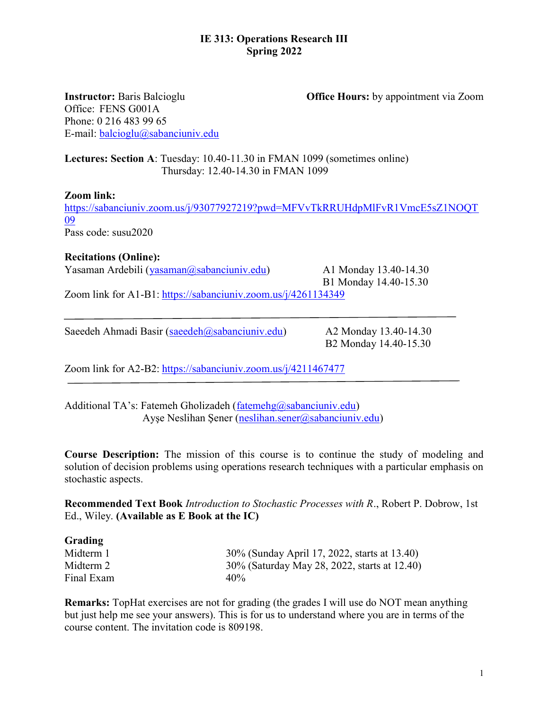## IE 313: Operations Research III Spring 2022

Instructor: Baris Balcioglu Office Hours: by appointment via Zoom

Office: FENS G001A Phone: 0 216 483 99 65 E-mail: balcioglu@sabanciuniv.edu

# Lectures: Section A: Tuesday: 10.40-11.30 in FMAN 1099 (sometimes online) Thursday: 12.40-14.30 in FMAN 1099

## Zoom link:

https://sabanciuniv.zoom.us/j/93077927219?pwd=MFVvTkRRUHdpMlFvR1VmcE5sZ1NOQT 09 Pass code: susu2020

## Recitations (Online):

Yasaman Ardebili (yasaman@sabanciuniv.edu) A1 Monday 13.40-14.30

B1 Monday 14.40-15.30

Zoom link for A1-B1: https://sabanciuniv.zoom.us/j/4261134349

Saeedeh Ahmadi Basir (saeedeh@sabanciuniv.edu) A2 Monday 13.40-14.30

B2 Monday 14.40-15.30

Zoom link for A2-B2: https://sabanciuniv.zoom.us/j/4211467477

Additional TA's: Fatemeh Gholizadeh ( $fatenehg@sabanciuniv.edu$ ) Ayşe Neslihan Şener (neslihan.sener@sabanciuniv.edu)

Course Description: The mission of this course is to continue the study of modeling and solution of decision problems using operations research techniques with a particular emphasis on stochastic aspects.

Recommended Text Book Introduction to Stochastic Processes with R., Robert P. Dobrow, 1st Ed., Wiley. (Available as E Book at the IC)

| Grading    |                                              |
|------------|----------------------------------------------|
| Midterm 1  | 30% (Sunday April 17, 2022, starts at 13.40) |
| Midterm 2  | 30% (Saturday May 28, 2022, starts at 12.40) |
| Final Exam | 40%                                          |

Remarks: TopHat exercises are not for grading (the grades I will use do NOT mean anything but just help me see your answers). This is for us to understand where you are in terms of the course content. The invitation code is 809198.